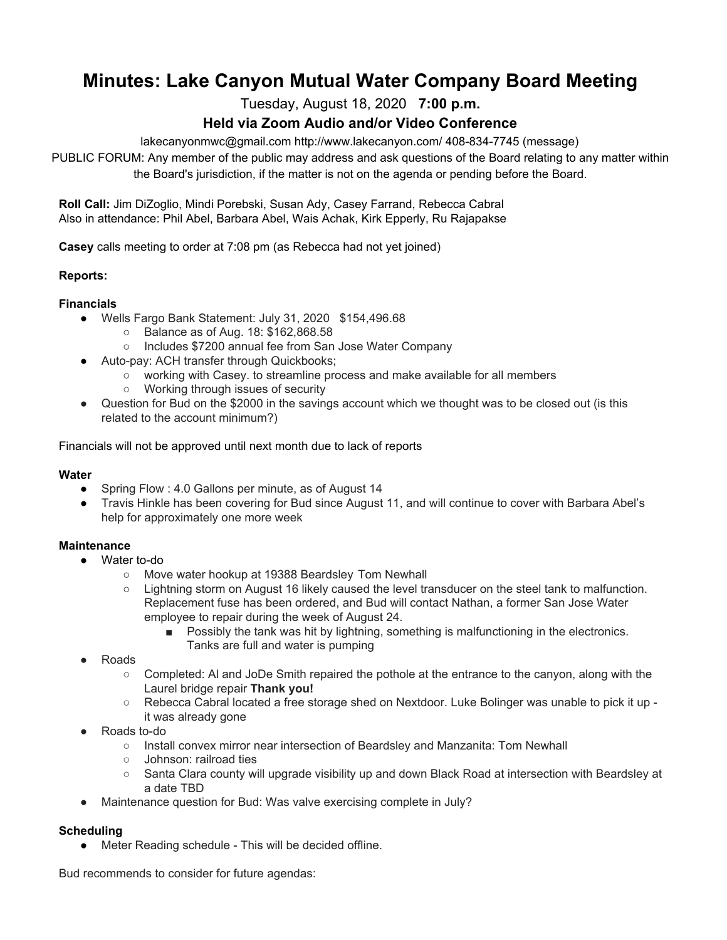# **Minutes: Lake Canyon Mutual Water Company Board Meeting**

Tuesday, August 18, 2020 **7:00 p.m.**

# **Held via Zoom Audio and/or Video Conference**

lakecanyonmwc@gmail.com http://www.lakecanyon.com/ 408-834-7745 (message)

PUBLIC FORUM: Any member of the public may address and ask questions of the Board relating to any matter within the Board's jurisdiction, if the matter is not on the agenda or pending before the Board.

**Roll Call:** Jim DiZoglio, Mindi Porebski, Susan Ady, Casey Farrand, Rebecca Cabral Also in attendance: Phil Abel, Barbara Abel, Wais Achak, Kirk Epperly, Ru Rajapakse

**Casey** calls meeting to order at 7:08 pm (as Rebecca had not yet joined)

# **Reports:**

# **Financials**

- Wells Fargo Bank Statement: July 31, 2020 \$154,496.68
	- Balance as of Aug. 18: \$162,868.58
	- Includes \$7200 annual fee from San Jose Water Company
- Auto-pay: ACH transfer through Quickbooks;
	- working with Casey. to streamline process and make available for all members
	- Working through issues of security
- Question for Bud on the \$2000 in the savings account which we thought was to be closed out (is this related to the account minimum?)

Financials will not be approved until next month due to lack of reports

#### **Water**

- Spring Flow : 4.0 Gallons per minute, as of August 14
- Travis Hinkle has been covering for Bud since August 11, and will continue to cover with Barbara Abel's help for approximately one more week

#### **Maintenance**

- Water to-do
	- Move water hookup at 19388 Beardsley Tom Newhall
	- Lightning storm on August 16 likely caused the level transducer on the steel tank to malfunction. Replacement fuse has been ordered, and Bud will contact Nathan, a former San Jose Water employee to repair during the week of August 24.
		- Possibly the tank was hit by lightning, something is malfunctioning in the electronics. Tanks are full and water is pumping
- **Roads** 
	- Completed: AI and JoDe Smith repaired the pothole at the entrance to the canyon, along with the Laurel bridge repair **Thank you!**
	- Rebecca Cabral located a free storage shed on Nextdoor. Luke Bolinger was unable to pick it up it was already gone
- Roads to-do
	- Install convex mirror near intersection of Beardsley and Manzanita: Tom Newhall
	- Johnson: railroad ties
	- Santa Clara county will upgrade visibility up and down Black Road at intersection with Beardsley at a date TBD
- Maintenance question for Bud: Was valve exercising complete in July?

# **Scheduling**

● Meter Reading schedule - This will be decided offline.

Bud recommends to consider for future agendas: